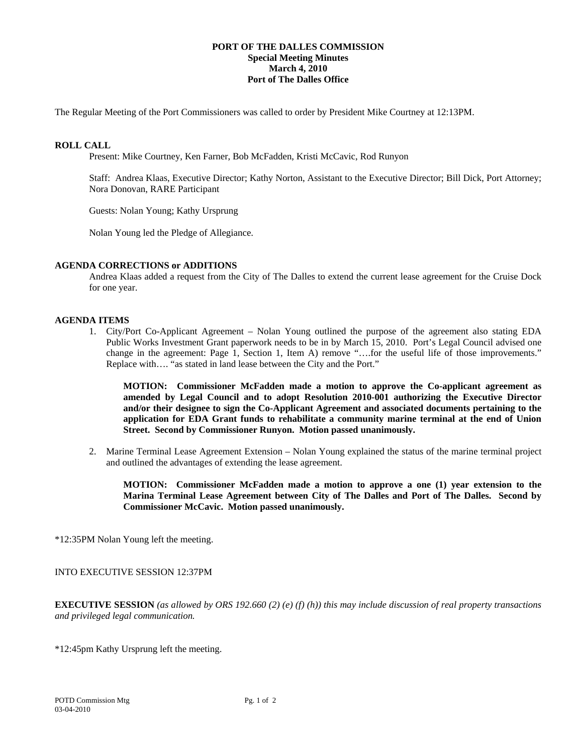## **PORT OF THE DALLES COMMISSION Special Meeting Minutes March 4, 2010 Port of The Dalles Office**

The Regular Meeting of the Port Commissioners was called to order by President Mike Courtney at 12:13PM.

#### **ROLL CALL**

Present: Mike Courtney, Ken Farner, Bob McFadden, Kristi McCavic, Rod Runyon

Staff: Andrea Klaas, Executive Director; Kathy Norton, Assistant to the Executive Director; Bill Dick, Port Attorney; Nora Donovan, RARE Participant

Guests: Nolan Young; Kathy Ursprung

Nolan Young led the Pledge of Allegiance.

## **AGENDA CORRECTIONS or ADDITIONS**

Andrea Klaas added a request from the City of The Dalles to extend the current lease agreement for the Cruise Dock for one year.

## **AGENDA ITEMS**

1. City/Port Co-Applicant Agreement – Nolan Young outlined the purpose of the agreement also stating EDA Public Works Investment Grant paperwork needs to be in by March 15, 2010. Port's Legal Council advised one change in the agreement: Page 1, Section 1, Item A) remove "….for the useful life of those improvements." Replace with…. "as stated in land lease between the City and the Port."

**MOTION: Commissioner McFadden made a motion to approve the Co-applicant agreement as amended by Legal Council and to adopt Resolution 2010-001 authorizing the Executive Director and/or their designee to sign the Co-Applicant Agreement and associated documents pertaining to the application for EDA Grant funds to rehabilitate a community marine terminal at the end of Union Street. Second by Commissioner Runyon. Motion passed unanimously.** 

2. Marine Terminal Lease Agreement Extension – Nolan Young explained the status of the marine terminal project and outlined the advantages of extending the lease agreement.

**MOTION: Commissioner McFadden made a motion to approve a one (1) year extension to the Marina Terminal Lease Agreement between City of The Dalles and Port of The Dalles. Second by Commissioner McCavic. Motion passed unanimously.** 

\*12:35PM Nolan Young left the meeting.

INTO EXECUTIVE SESSION 12:37PM

**EXECUTIVE SESSION** *(as allowed by ORS 192.660 (2) (e) (f) (h)) this may include discussion of real property transactions and privileged legal communication.*

\*12:45pm Kathy Ursprung left the meeting.